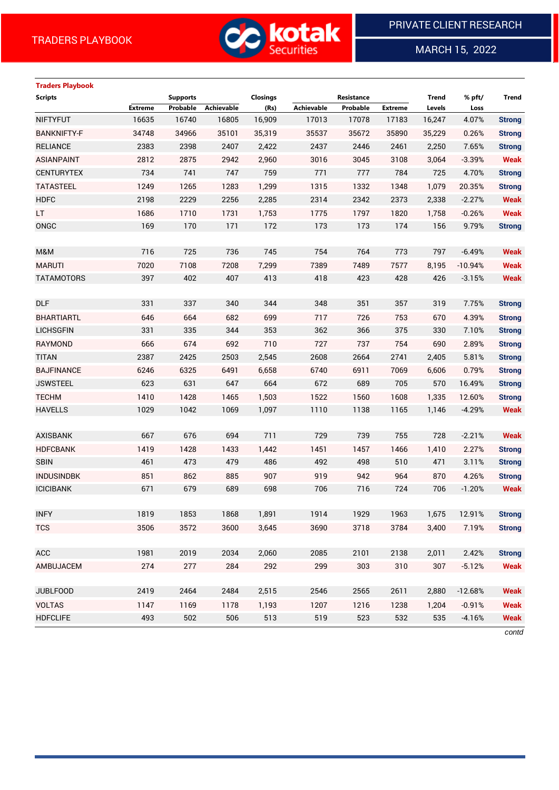

MARCH 15, 2022

 $\overline{a}$ 

# **Traders Playbook**

| <b>Scripts</b>     |                | <b>Supports</b> | <b>Closings</b> |              | Resistance        |             |                | <b>Trend</b> | % pft/            | Trend                        |
|--------------------|----------------|-----------------|-----------------|--------------|-------------------|-------------|----------------|--------------|-------------------|------------------------------|
|                    | <b>Extreme</b> | Probable        | Achievable      | (Rs)         | <b>Achievable</b> | Probable    | <b>Extreme</b> | Levels       | Loss              |                              |
| <b>NIFTYFUT</b>    | 16635          | 16740           | 16805           | 16,909       | 17013             | 17078       | 17183          | 16,247       | 4.07%             | <b>Strong</b>                |
| <b>BANKNIFTY-F</b> | 34748          | 34966           | 35101           | 35,319       | 35537             | 35672       | 35890          | 35,229       | 0.26%             | <b>Strong</b>                |
| <b>RELIANCE</b>    | 2383           | 2398            | 2407            | 2,422        | 2437              | 2446        | 2461           | 2,250        | 7.65%             | <b>Strong</b>                |
| <b>ASIANPAINT</b>  | 2812<br>734    | 2875<br>741     | 2942<br>747     | 2,960<br>759 | 3016<br>771       | 3045<br>777 | 3108<br>784    | 3,064<br>725 | $-3.39%$<br>4.70% | <b>Weak</b><br><b>Strong</b> |
| <b>CENTURYTEX</b>  |                |                 |                 |              |                   |             |                |              |                   |                              |
| <b>TATASTEEL</b>   | 1249           | 1265            | 1283            | 1,299        | 1315              | 1332        | 1348           | 1,079        | 20.35%            | <b>Strong</b>                |
| <b>HDFC</b>        | 2198           | 2229            | 2256            | 2,285        | 2314              | 2342        | 2373           | 2,338        | $-2.27%$          | <b>Weak</b>                  |
| LT.                | 1686           | 1710            | 1731            | 1,753        | 1775              | 1797        | 1820           | 1,758        | $-0.26%$          | <b>Weak</b>                  |
| ONGC               | 169            | 170             | 171             | 172          | 173               | 173         | 174            | 156          | 9.79%             | <b>Strong</b>                |
|                    |                |                 |                 |              |                   |             |                |              |                   |                              |
| M&M                | 716            | 725             | 736             | 745          | 754               | 764         | 773            | 797          | $-6.49%$          | <b>Weak</b>                  |
| <b>MARUTI</b>      | 7020           | 7108            | 7208            | 7,299        | 7389              | 7489        | 7577           | 8,195        | $-10.94%$         | <b>Weak</b>                  |
| <b>TATAMOTORS</b>  | 397            | 402             | 407             | 413          | 418               | 423         | 428            | 426          | $-3.15%$          | <b>Weak</b>                  |
|                    |                |                 |                 |              |                   |             |                |              |                   |                              |
| <b>DLF</b>         | 331            | 337             | 340             | 344          | 348               | 351         | 357            | 319          | 7.75%             | <b>Strong</b>                |
| <b>BHARTIARTL</b>  | 646            | 664             | 682             | 699          | 717               | 726         | 753            | 670          | 4.39%             | <b>Strong</b>                |
| <b>LICHSGFIN</b>   | 331            | 335             | 344             | 353          | 362               | 366         | 375            | 330          | 7.10%             | <b>Strong</b>                |
| <b>RAYMOND</b>     | 666            | 674             | 692             | 710          | 727               | 737         | 754            | 690          | 2.89%             | <b>Strong</b>                |
| <b>TITAN</b>       | 2387           | 2425            | 2503            | 2,545        | 2608              | 2664        | 2741           | 2,405        | 5.81%             | <b>Strong</b>                |
| <b>BAJFINANCE</b>  | 6246           | 6325            | 6491            | 6,658        | 6740              | 6911        | 7069           | 6,606        | 0.79%             | <b>Strong</b>                |
| <b>JSWSTEEL</b>    | 623            | 631             | 647             | 664          | 672               | 689         | 705            | 570          | 16.49%            | <b>Strong</b>                |
| <b>TECHM</b>       | 1410           | 1428            | 1465            | 1,503        | 1522              | 1560        | 1608           | 1,335        | 12.60%            | <b>Strong</b>                |
| <b>HAVELLS</b>     | 1029           | 1042            | 1069            | 1,097        | 1110              | 1138        | 1165           | 1,146        | $-4.29%$          | <b>Weak</b>                  |
|                    |                |                 |                 |              |                   |             |                |              |                   |                              |
| <b>AXISBANK</b>    | 667            | 676             | 694             | 711          | 729               | 739         | 755            | 728          | $-2.21%$          | <b>Weak</b>                  |
| <b>HDFCBANK</b>    | 1419           | 1428            | 1433            | 1,442        | 1451              | 1457        | 1466           | 1,410        | 2.27%             | <b>Strong</b>                |
| <b>SBIN</b>        | 461            | 473             | 479             | 486          | 492               | 498         | 510            | 471          | 3.11%             | <b>Strong</b>                |
| <b>INDUSINDBK</b>  | 851            | 862             | 885             | 907          | 919               | 942         | 964            | 870          | 4.26%             | <b>Strong</b>                |
| <b>ICICIBANK</b>   | 671            | 679             | 689             | 698          | 706               | 716         | 724            | 706          | $-1.20%$          | <b>Weak</b>                  |
|                    |                |                 |                 |              |                   |             |                |              |                   |                              |
| <b>INFY</b>        | 1819           | 1853            | 1868            | 1,891        | 1914              | 1929        | 1963           | 1,675        | 12.91%            | <b>Strong</b>                |
| <b>TCS</b>         | 3506           | 3572            | 3600            | 3,645        | 3690              | 3718        | 3784           | 3,400        | 7.19%             | <b>Strong</b>                |
|                    |                |                 |                 |              |                   |             |                |              |                   |                              |
| <b>ACC</b>         | 1981           | 2019            | 2034            | 2,060        | 2085              | 2101        | 2138           | 2,011        | 2.42%             | <b>Strong</b>                |
| AMBUJACEM          | 274            | 277             | 284             | 292          | 299               | 303         | 310            | 307          | $-5.12%$          | <b>Weak</b>                  |
|                    |                |                 |                 |              |                   |             |                |              |                   |                              |
| <b>JUBLFOOD</b>    | 2419           | 2464            | 2484            | 2,515        | 2546              | 2565        | 2611           | 2,880        | $-12.68%$         | <b>Weak</b>                  |
| <b>VOLTAS</b>      | 1147           | 1169            | 1178            | 1,193        | 1207              | 1216        | 1238           | 1,204        | $-0.91%$          | <b>Weak</b>                  |
| <b>HDFCLIFE</b>    | 493            | 502             | 506             | 513          | 519               | 523         | 532            | 535          | $-4.16%$          | <b>Weak</b>                  |
|                    |                |                 |                 |              |                   |             |                |              |                   | contd                        |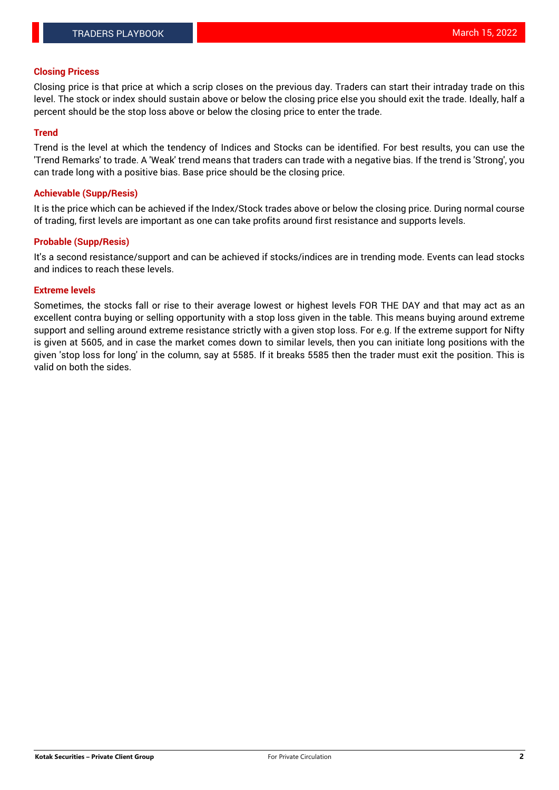## **Closing Pricess**

Closing price is that price at which a scrip closes on the previous day. Traders can start their intraday trade on this level. The stock or index should sustain above or below the closing price else you should exit the trade. Ideally, half a percent should be the stop loss above or below the closing price to enter the trade.

## **Trend**

Trend is the level at which the tendency of Indices and Stocks can be identified. For best results, you can use the 'Trend Remarks' to trade. A 'Weak' trend means that traders can trade with a negative bias. If the trend is 'Strong', you can trade long with a positive bias. Base price should be the closing price.

#### **Achievable (Supp/Resis)**

It is the price which can be achieved if the Index/Stock trades above or below the closing price. During normal course of trading, first levels are important as one can take profits around first resistance and supports levels.

## **Probable (Supp/Resis)**

It's a second resistance/support and can be achieved if stocks/indices are in trending mode. Events can lead stocks and indices to reach these levels.

#### **Extreme levels**

Sometimes, the stocks fall or rise to their average lowest or highest levels FOR THE DAY and that may act as an excellent contra buying or selling opportunity with a stop loss given in the table. This means buying around extreme support and selling around extreme resistance strictly with a given stop loss. For e.g. If the extreme support for Nifty is given at 5605, and in case the market comes down to similar levels, then you can initiate long positions with the given 'stop loss for long' in the column, say at 5585. If it breaks 5585 then the trader must exit the position. This is valid on both the sides.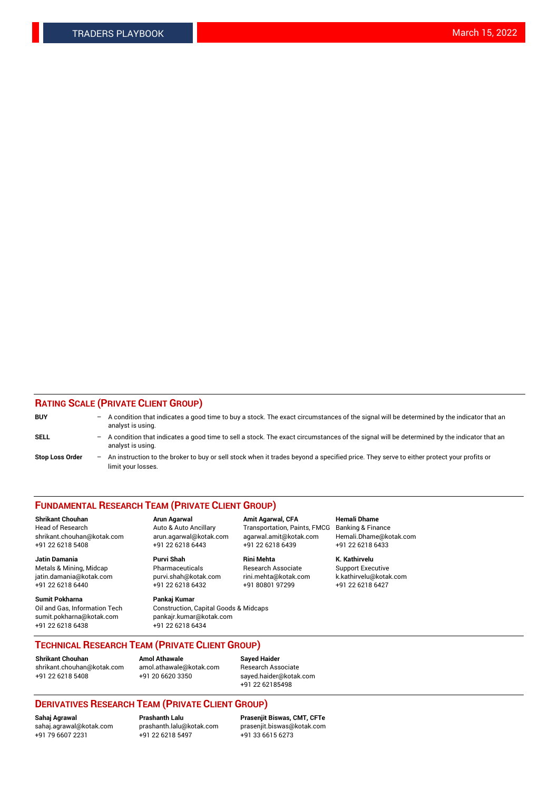## **RATING SCALE (PRIVATE CLIENT GROUP)**

| <b>BUY</b>             | $-$ | A condition that indicates a good time to buy a stock. The exact circumstances of the signal will be determined by the indicator that an<br>analyst is using.    |
|------------------------|-----|------------------------------------------------------------------------------------------------------------------------------------------------------------------|
| <b>SELL</b>            |     | - A condition that indicates a good time to sell a stock. The exact circumstances of the signal will be determined by the indicator that an<br>analyst is using. |
| <b>Stop Loss Order</b> |     | - An instruction to the broker to buy or sell stock when it trades beyond a specified price. They serve to either protect your profits or<br>limit your losses.  |

#### **FUNDAMENTAL RESEARCH TEAM (PRIVATE CLIENT GROUP)**

**Shrikant Chouhan Arun Agarwal Amit Agarwal, CFA Hemali Dhame**

**Jatin Damania Purvi Shah Rini Mehta K. Kathirvelu** Metals & Mining, Midcap **Pharmaceuticals** Research Associate Support Executive jatin.damania@kotak.com [purvi.shah@kotak.com](mailto:purvi.shah@kotak.com) rini.mehta@kotak.com [k.kathirvelu@kotak.com](mailto:k.kathirvelu@kotak.com)  $+91$  22 6218 6440  $+91$  22 6218 6432

**Sumit Pokharna Pankaj Kumar** sumit.pokharna@kotak.com pankajr.kumar@kotak.com +91 22 6218 6438 +91 22 6218 6434

Oil and Gas, Information Tech Construction, Capital Goods & Midcaps

Head of Research Auto & Auto Ancillary Transportation, Paints, FMCG Banking & Finance shrikant.chouhan@kotak.com arun.agarwal@kotak.com agarwal.amit@kotak.com Hemali.Dhame@kotak.com +91 22 6218 5408 +91 22 6218 6443 +91 22 6218 6439 +91 22 6218 6433

**TECHNICAL RESEARCH TEAM (PRIVATE CLIENT GROUP)**

[shrikant.chouhan@kotak.com](mailto:shrikant.chouhan@kotak.com) [amol.athawale@kotak.com](mailto:amol.athawale@kotak.com) Research Associate +91 22 6218 5408 +91 20 6620 3350 [sayed.haider@kotak.com](mailto:sayed.haider@kotak.com)

**Shrikant Chouhan Amol Athawale Sayed Haider**

+91 22 62185498

# **DERIVATIVES RESEARCH TEAM (PRIVATE CLIENT GROUP)**

 $+91$  22 6218 5497

**Sahaj Agrawal Prashanth Lalu Prasenjit Biswas, CMT, CFTe** [sahaj.agrawal@kotak.com](mailto:sahaj.agrawal@kotak.com) [prashanth.lalu@kotak.com](mailto:prashanth.lalu@kotak.com) [prasenjit.biswas@kotak.com](mailto:prasenjit.biswas@kotak.com)